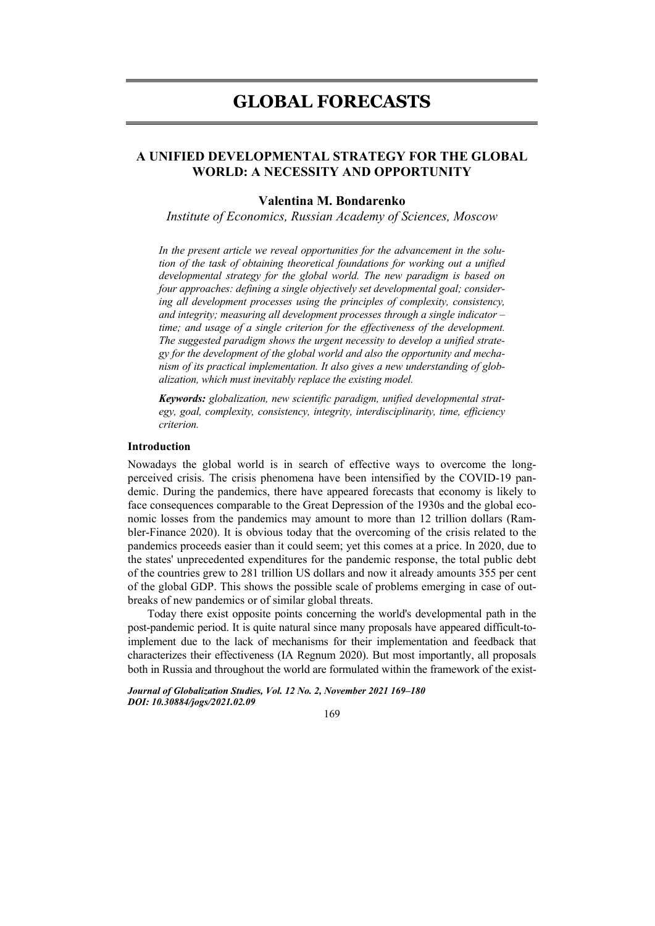# **GLOBAL FORECASTS**

# **A UNIFIED DEVELOPMENTAL STRATEGY FOR THE GLOBAL WORLD: A NECESSITY AND OPPORTUNITY**

# **Valentina M. Bondarenko**

*Institute of Economics, Russian Academy of Sciences, Moscow* 

*In the present article we reveal opportunities for the advancement in the solution of the task of obtaining theoretical foundations for working out a unified developmental strategy for the global world. The new paradigm is based on four approaches: defining a single objectively set developmental goal; considering all development processes using the principles of complexity, consistency, and integrity; measuring all development processes through a single indicator – time; and usage of a single criterion for the effectiveness of the development. The suggested paradigm shows the urgent necessity to develop a unified strategy for the development of the global world and also the opportunity and mechanism of its practical implementation. It also gives a new understanding of globalization, which must inevitably replace the existing model.* 

*Keywords: globalization, new scientific paradigm, unified developmental strategy, goal, complexity, consistency, integrity, interdisciplinarity, time, efficiency criterion.* 

### **Introduction**

Nowadays the global world is in search of effective ways to overcome the longperceived crisis. The crisis phenomena have been intensified by the COVID-19 pandemic. During the pandemics, there have appeared forecasts that economy is likely to face consequences comparable to the Great Depression of the 1930s and the global economic losses from the pandemics may amount to more than 12 trillion dollars (Rambler-Finance 2020). It is obvious today that the overcoming of the crisis related to the pandemics proceeds easier than it could seem; yet this comes at a price. In 2020, due to the states' unprecedented expenditures for the pandemic response, the total public debt of the countries grew to 281 trillion US dollars and now it already amounts 355 per cent of the global GDP. This shows the possible scale of problems emerging in case of outbreaks of new pandemics or of similar global threats.

Today there exist opposite points concerning the world's developmental path in the post-pandemic period. It is quite natural since many proposals have appeared difficult-toimplement due to the lack of mechanisms for their implementation and feedback that characterizes their effectiveness (IA Regnum 2020). But most importantly, all proposals both in Russia and throughout the world are formulated within the framework of the exist-

*Journal of Globalization Studies, Vol. 12 No. 2, November 2021 169–180 DOI: 10.30884/jogs/2021.02.09* 

169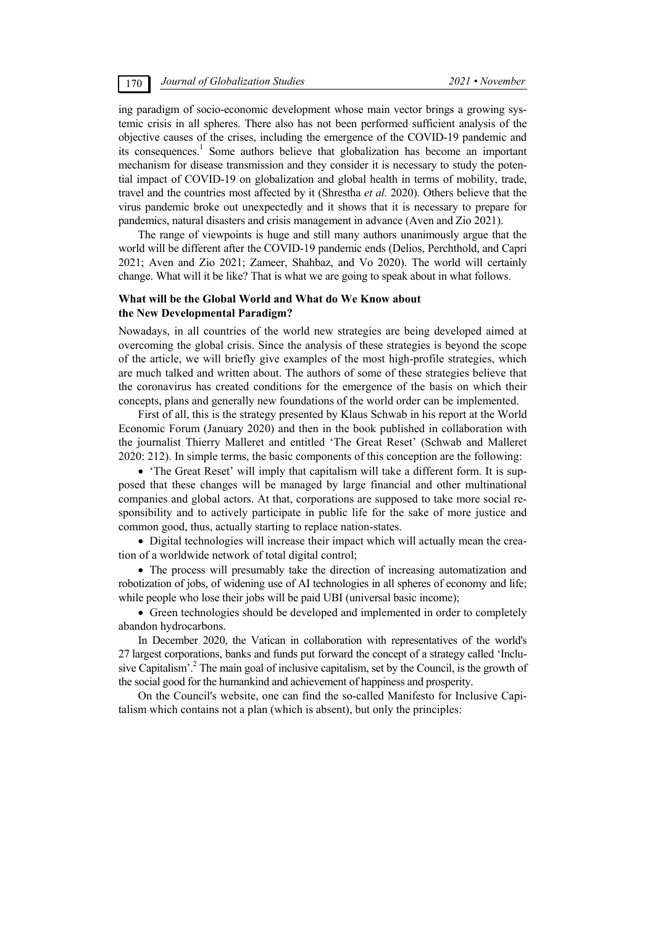ing paradigm of socio-economic development whose main vector brings a growing systemic crisis in all spheres. There also has not been performed sufficient analysis of the objective causes of the crises, including the emergence of the COVID-19 pandemic and its consequences.<sup>1</sup> Some authors believe that globalization has become an important mechanism for disease transmission and they consider it is necessary to study the potential impact of COVID-19 on globalization and global health in terms of mobility, trade, travel and the countries most affected by it (Shrestha *et al.* 2020). Others believe that the virus pandemic broke out unexpectedly and it shows that it is necessary to prepare for pandemics, natural disasters and crisis management in advance (Aven and Zio 2021).

The range of viewpoints is huge and still many authors unanimously argue that the world will be different after the COVID-19 pandemic ends (Delios, Perchthold, and Capri 2021; Aven and Zio 2021; Zameer, Shahbaz, and Vo 2020). The world will certainly change. What will it be like? That is what we are going to speak about in what follows.

## **What will be the Global World and What do We Know about the New Developmental Paradigm?**

Nowadays, in all countries of the world new strategies are being developed aimed at overcoming the global crisis. Since the analysis of these strategies is beyond the scope of the article, we will briefly give examples of the most high-profile strategies, which are much talked and written about. The authors of some of these strategies believe that the coronavirus has created conditions for the emergence of the basis on which their concepts, plans and generally new foundations of the world order can be implemented.

First of all, this is the strategy presented by Klaus Schwab in his report at the World Economic Forum (January 2020) and then in the book published in collaboration with the journalist Thierry Malleret and entitled 'The Great Reset' (Schwab and Malleret 2020: 212). In simple terms, the basic components of this conception are the following:

 'The Great Reset' will imply that capitalism will take a different form. It is supposed that these changes will be managed by large financial and other multinational companies and global actors. At that, corporations are supposed to take more social responsibility and to actively participate in public life for the sake of more justice and common good, thus, actually starting to replace nation-states.

• Digital technologies will increase their impact which will actually mean the creation of a worldwide network of total digital control;

• The process will presumably take the direction of increasing automatization and robotization of jobs, of widening use of AI technologies in all spheres of economy and life; while people who lose their jobs will be paid UBI (universal basic income);

• Green technologies should be developed and implemented in order to completely abandon hydrocarbons.

In December 2020, the Vatican in collaboration with representatives of the world's 27 largest corporations, banks and funds put forward the concept of a strategy called 'Inclusive Capitalism'.<sup>2</sup> The main goal of inclusive capitalism, set by the Council, is the growth of the social good for the humankind and achievement of happiness and prosperity.

On the Council's website, one can find the so-called Manifesto for Inclusive Capitalism which contains not a plan (which is absent), but only the principles: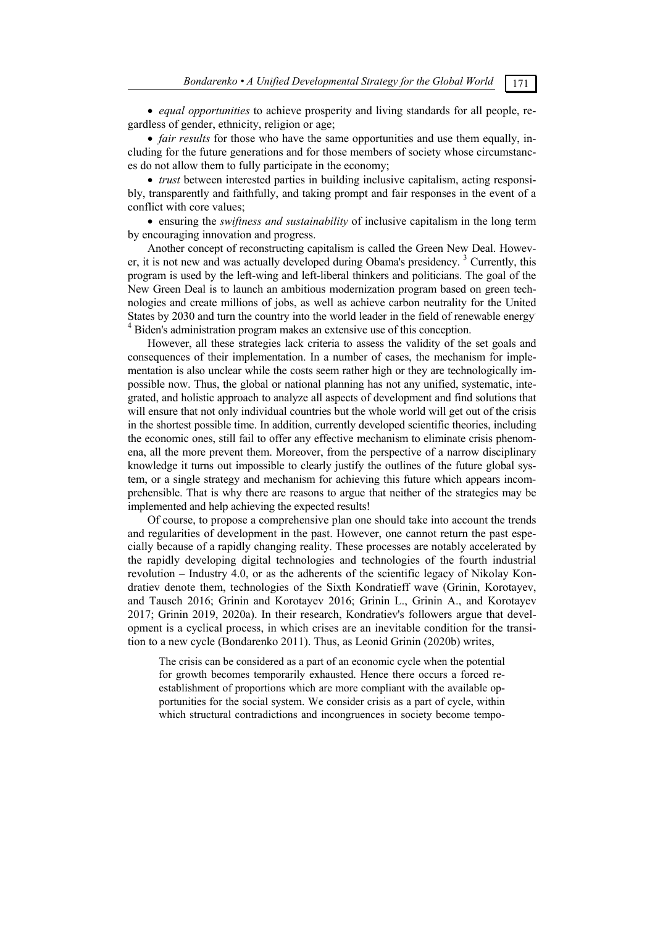*equal opportunities* to achieve prosperity and living standards for all people, regardless of gender, ethnicity, religion or age;

• *fair results* for those who have the same opportunities and use them equally, including for the future generations and for those members of society whose circumstances do not allow them to fully participate in the economy;

 *trust* between interested parties in building inclusive capitalism, acting responsibly, transparently and faithfully, and taking prompt and fair responses in the event of a conflict with core values;

 ensuring the *swiftness and sustainability* of inclusive capitalism in the long term by encouraging innovation and progress.

Another concept of reconstructing capitalism is called the Green New Deal. However, it is not new and was actually developed during Obama's presidency.<sup>3</sup> Currently, this program is used by the left-wing and left-liberal thinkers and politicians. The goal of the New Green Deal is to launch an ambitious modernization program based on green technologies and create millions of jobs, as well as achieve carbon neutrality for the United States by 2030 and turn the country into the world leader in the field of renewable energy. <sup>4</sup> Biden's administration program makes an extensive use of this conception.

However, all these strategies lack criteria to assess the validity of the set goals and consequences of their implementation. In a number of cases, the mechanism for implementation is also unclear while the costs seem rather high or they are technologically impossible now. Thus, the global or national planning has not any unified, systematic, integrated, and holistic approach to analyze all aspects of development and find solutions that will ensure that not only individual countries but the whole world will get out of the crisis in the shortest possible time. In addition, currently developed scientific theories, including the economic ones, still fail to offer any effective mechanism to eliminate crisis phenomena, all the more prevent them. Moreover, from the perspective of a narrow disciplinary knowledge it turns out impossible to clearly justify the outlines of the future global system, or a single strategy and mechanism for achieving this future which appears incomprehensible. That is why there are reasons to argue that neither of the strategies may be implemented and help achieving the expected results!

Of course, to propose a comprehensive plan one should take into account the trends and regularities of development in the past. However, one cannot return the past especially because of a rapidly changing reality. These processes are notably accelerated by the rapidly developing digital technologies and technologies of the fourth industrial revolution – Industry 4.0, or as the adherents of the scientific legacy of Nikolay Kondratiev denote them, technologies of the Sixth Kondratieff wave (Grinin, Korotayev, and Tausch 2016; Grinin and Korotayev 2016; Grinin L., Grinin A., and Korotayev 2017; Grinin 2019, 2020a). In their research, Kondratiev's followers argue that development is a cyclical process, in which crises are an inevitable condition for the transition to a new cycle (Bondarenko 2011). Thus, as Leonid Grinin (2020b) writes,

The crisis can be considered as a part of an economic cycle when the potential for growth becomes temporarily exhausted. Hence there occurs a forced reestablishment of proportions which are more compliant with the available opportunities for the social system. We consider crisis as a part of cycle, within which structural contradictions and incongruences in society become tempo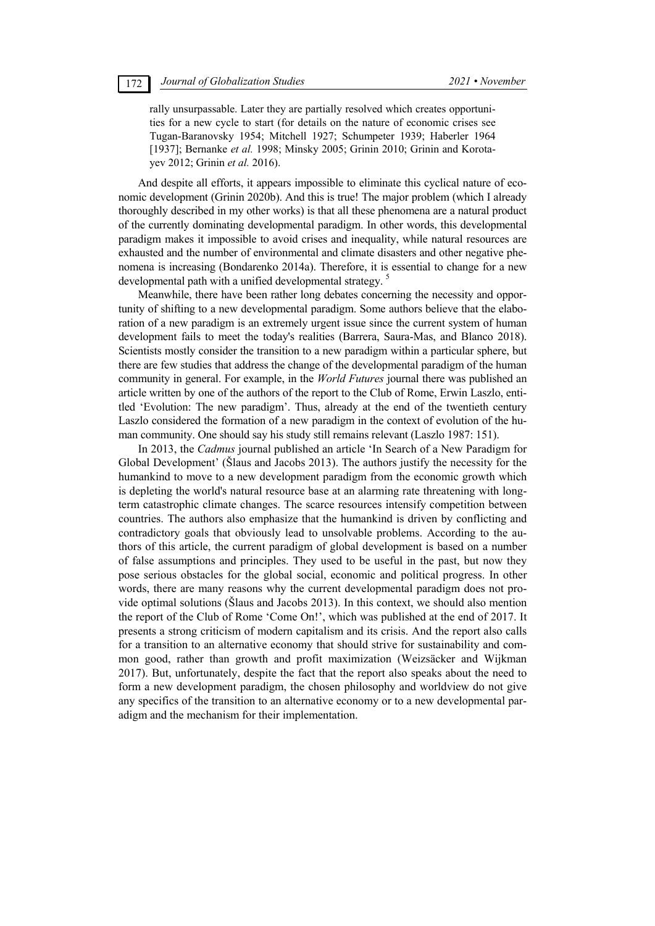rally unsurpassable. Later they are partially resolved which creates opportunities for a new cycle to start (for details on the nature of economic crises see Tugan-Baranovsky 1954; Mitchell 1927; Schumpeter 1939; Haberler 1964 [1937]; Bernanke et al. 1998; Minsky 2005; Grinin 2010; Grinin and Korotayev 2012; Grinin *et al.* 2016).

And despite all efforts, it appears impossible to eliminate this cyclical nature of economic development (Grinin 2020b). And this is true! The major problem (which I already thoroughly described in my other works) is that all these phenomena are a natural product of the currently dominating developmental paradigm. In other words, this developmental paradigm makes it impossible to avoid crises and inequality, while natural resources are exhausted and the number of environmental and climate disasters and other negative phenomena is increasing (Bondarenko 2014a). Therefore, it is essential to change for a new developmental path with a unified developmental strategy.<sup>5</sup>

Meanwhile, there have been rather long debates concerning the necessity and opportunity of shifting to a new developmental paradigm. Some authors believe that the elaboration of a new paradigm is an extremely urgent issue since the current system of human development fails to meet the today's realities (Barrera, Saura-Mas, and Blanco 2018). Scientists mostly consider the transition to a new paradigm within a particular sphere, but there are few studies that address the change of the developmental paradigm of the human community in general. For example, in the *World Futures* journal there was published an article written by one of the authors of the report to the Club of Rome, Erwin Laszlo, entitled 'Evolution: The new paradigm'. Thus, already at the end of the twentieth century Laszlo considered the formation of a new paradigm in the context of evolution of the human community. One should say his study still remains relevant (Laszlo 1987: 151).

In 2013, the *Cadmus* journal published an article 'In Search of a New Paradigm for Global Development' (Šlaus and Jacobs 2013). The authors justify the necessity for the humankind to move to a new development paradigm from the economic growth which is depleting the world's natural resource base at an alarming rate threatening with longterm catastrophic climate changes. The scarce resources intensify competition between countries. The authors also emphasize that the humankind is driven by conflicting and contradictory goals that obviously lead to unsolvable problems. According to the authors of this article, the current paradigm of global development is based on a number of false assumptions and principles. They used to be useful in the past, but now they pose serious obstacles for the global social, economic and political progress. In other words, there are many reasons why the current developmental paradigm does not provide optimal solutions (Šlaus and Jacobs 2013). In this context, we should also mention the report of the Club of Rome 'Come On!', which was published at the end of 2017. It presents a strong criticism of modern capitalism and its crisis. And the report also calls for a transition to an alternative economy that should strive for sustainability and common good, rather than growth and profit maximization (Weizsäcker and Wijkman 2017). But, unfortunately, despite the fact that the report also speaks about the need to form a new development paradigm, the chosen philosophy and worldview do not give any specifics of the transition to an alternative economy or to a new developmental paradigm and the mechanism for their implementation.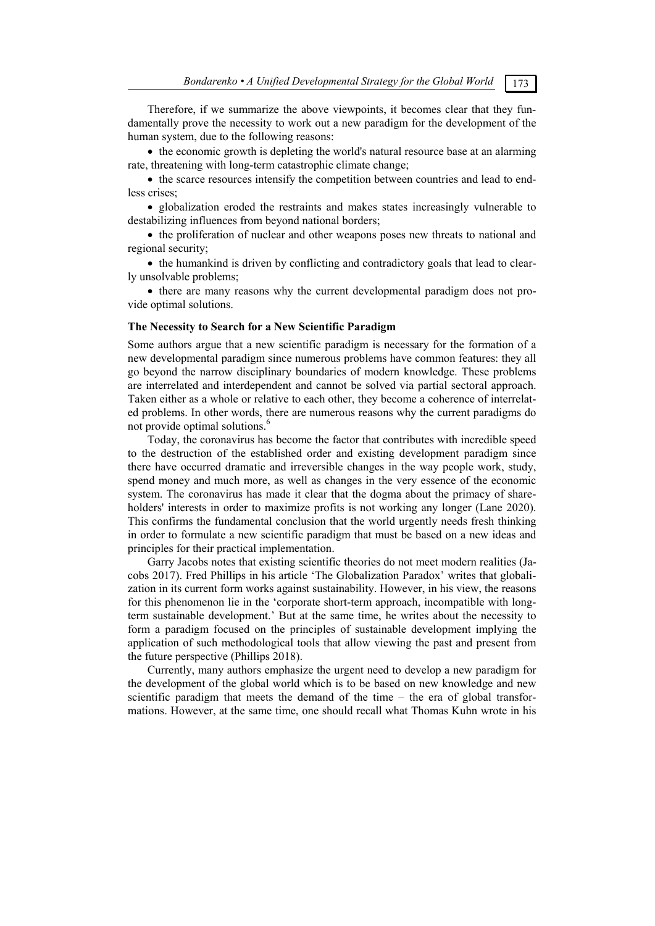Therefore, if we summarize the above viewpoints, it becomes clear that they fundamentally prove the necessity to work out a new paradigm for the development of the human system, due to the following reasons:

 the economic growth is depleting the world's natural resource base at an alarming rate, threatening with long-term catastrophic climate change;

 the scarce resources intensify the competition between countries and lead to endless crises;

• globalization eroded the restraints and makes states increasingly vulnerable to destabilizing influences from beyond national borders;

• the proliferation of nuclear and other weapons poses new threats to national and regional security;

• the humankind is driven by conflicting and contradictory goals that lead to clearly unsolvable problems;

• there are many reasons why the current developmental paradigm does not provide optimal solutions.

### **The Necessity to Search for a New Scientific Paradigm**

Some authors argue that a new scientific paradigm is necessary for the formation of a new developmental paradigm since numerous problems have common features: they all go beyond the narrow disciplinary boundaries of modern knowledge. These problems are interrelated and interdependent and cannot be solved via partial sectoral approach. Taken either as a whole or relative to each other, they become a coherence of interrelated problems. In other words, there are numerous reasons why the current paradigms do not provide optimal solutions.<sup>6</sup>

Today, the coronavirus has become the factor that contributes with incredible speed to the destruction of the established order and existing development paradigm since there have occurred dramatic and irreversible changes in the way people work, study, spend money and much more, as well as changes in the very essence of the economic system. The coronavirus has made it clear that the dogma about the primacy of shareholders' interests in order to maximize profits is not working any longer (Lane 2020). This confirms the fundamental conclusion that the world urgently needs fresh thinking in order to formulate a new scientific paradigm that must be based on a new ideas and principles for their practical implementation.

Garry Jacobs notes that existing scientific theories do not meet modern realities (Jacobs 2017). Fred Phillips in his article 'The Globalization Paradox' writes that globalization in its current form works against sustainability. However, in his view, the reasons for this phenomenon lie in the 'corporate short-term approach, incompatible with longterm sustainable development.' But at the same time, he writes about the necessity to form a paradigm focused on the principles of sustainable development implying the application of such methodological tools that allow viewing the past and present from the future perspective (Phillips 2018).

Currently, many authors emphasize the urgent need to develop a new paradigm for the development of the global world which is to be based on new knowledge and new scientific paradigm that meets the demand of the time  $-$  the era of global transformations. However, at the same time, one should recall what Thomas Kuhn wrote in his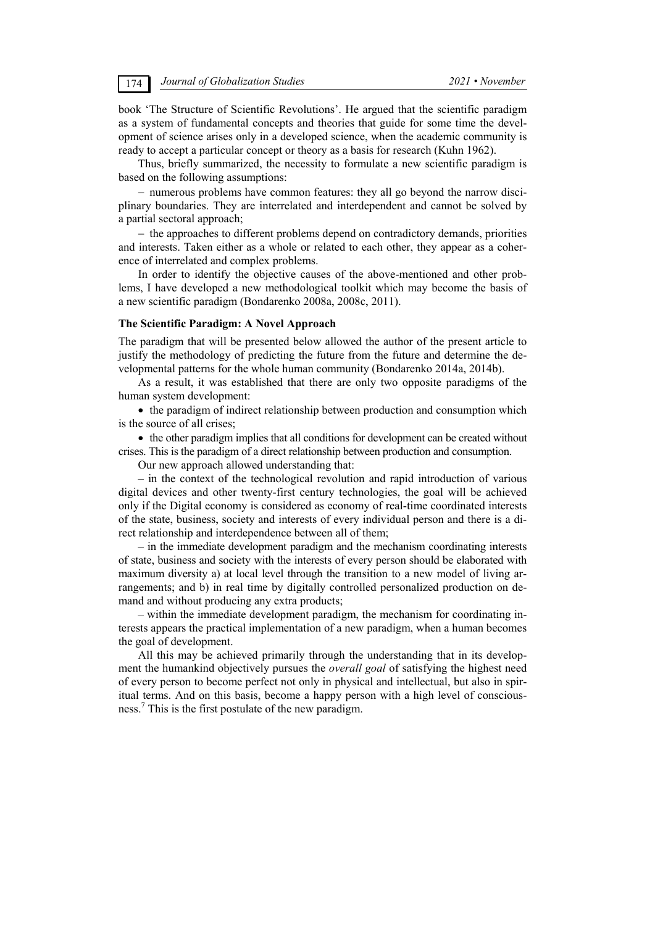book 'The Structure of Scientific Revolutions'. He argued that the scientific paradigm as a system of fundamental concepts and theories that guide for some time the development of science arises only in a developed science, when the academic community is ready to accept a particular concept or theory as a basis for research (Kuhn 1962).

Thus, briefly summarized, the necessity to formulate a new scientific paradigm is based on the following assumptions:

 numerous problems have common features: they all go beyond the narrow disciplinary boundaries. They are interrelated and interdependent and cannot be solved by a partial sectoral approach;

- the approaches to different problems depend on contradictory demands, priorities and interests. Taken either as a whole or related to each other, they appear as a coherence of interrelated and complex problems.

In order to identify the objective causes of the above-mentioned and other problems, I have developed a new methodological toolkit which may become the basis of a new scientific paradigm (Bondarenko 2008a, 2008c, 2011).

### **The Scientific Paradigm: A Novel Approach**

The paradigm that will be presented below allowed the author of the present article to justify the methodology of predicting the future from the future and determine the developmental patterns for the whole human community (Bondarenko 2014a, 2014b).

As a result, it was established that there are only two opposite paradigms of the human system development:

• the paradigm of indirect relationship between production and consumption which is the source of all crises;

• the other paradigm implies that all conditions for development can be created without crises. This is the paradigm of a direct relationship between production and consumption.

Our new approach allowed understanding that:

– in the context of the technological revolution and rapid introduction of various digital devices and other twenty-first century technologies, the goal will be achieved only if the Digital economy is considered as economy of real-time coordinated interests of the state, business, society and interests of every individual person and there is a direct relationship and interdependence between all of them;

– in the immediate development paradigm and the mechanism coordinating interests of state, business and society with the interests of every person should be elaborated with maximum diversity a) at local level through the transition to a new model of living arrangements; and b) in real time by digitally controlled personalized production on demand and without producing any extra products;

– within the immediate development paradigm, the mechanism for coordinating interests appears the practical implementation of a new paradigm, when a human becomes the goal of development.

All this may be achieved primarily through the understanding that in its development the humankind objectively pursues the *overall goal* of satisfying the highest need of every person to become perfect not only in physical and intellectual, but also in spiritual terms. And on this basis, become a happy person with a high level of consciousness. 7 This is the first postulate of the new paradigm.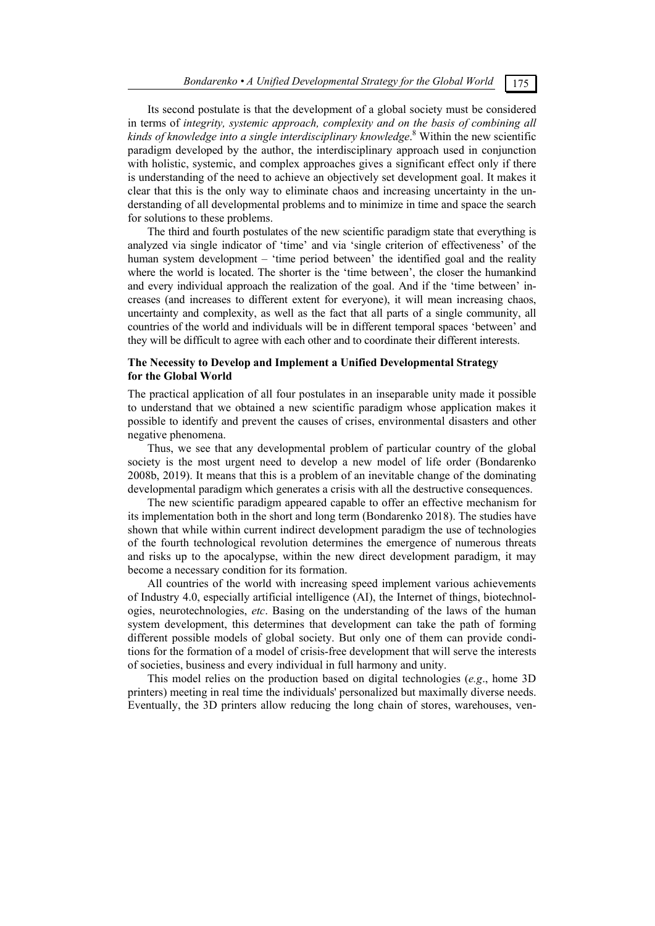Its second postulate is that the development of a global society must be considered in terms of *integrity, systemic approach, complexity and on the basis of combining all kinds of knowledge into a single interdisciplinary knowledge*. 8 Within the new scientific paradigm developed by the author, the interdisciplinary approach used in conjunction with holistic, systemic, and complex approaches gives a significant effect only if there is understanding of the need to achieve an objectively set development goal. It makes it clear that this is the only way to eliminate chaos and increasing uncertainty in the understanding of all developmental problems and to minimize in time and space the search for solutions to these problems.

The third and fourth postulates of the new scientific paradigm state that everything is analyzed via single indicator of 'time' and via 'single criterion of effectiveness' of the human system development – 'time period between' the identified goal and the reality where the world is located. The shorter is the 'time between', the closer the humankind and every individual approach the realization of the goal. And if the 'time between' increases (and increases to different extent for everyone), it will mean increasing chaos, uncertainty and complexity, as well as the fact that all parts of a single community, all countries of the world and individuals will be in different temporal spaces 'between' and they will be difficult to agree with each other and to coordinate their different interests.

### **The Necessity to Develop and Implement a Unified Developmental Strategy for the Global World**

The practical application of all four postulates in an inseparable unity made it possible to understand that we obtained a new scientific paradigm whose application makes it possible to identify and prevent the causes of crises, environmental disasters and other negative phenomena.

Thus, we see that any developmental problem of particular country of the global society is the most urgent need to develop a new model of life order (Bondarenko 2008b, 2019). It means that this is a problem of an inevitable change of the dominating developmental paradigm which generates a crisis with all the destructive consequences.

The new scientific paradigm appeared capable to offer an effective mechanism for its implementation both in the short and long term (Bondarenko 2018). The studies have shown that while within current indirect development paradigm the use of technologies of the fourth technological revolution determines the emergence of numerous threats and risks up to the apocalypse, within the new direct development paradigm, it may become a necessary condition for its formation.

All countries of the world with increasing speed implement various achievements of Industry 4.0, especially artificial intelligence (AI), the Internet of things, biotechnologies, neurotechnologies, *etc*. Basing on the understanding of the laws of the human system development, this determines that development can take the path of forming different possible models of global society. But only one of them can provide conditions for the formation of a model of crisis-free development that will serve the interests of societies, business and every individual in full harmony and unity.

This model relies on the production based on digital technologies (*e.g*., home 3D printers) meeting in real time the individuals' personalized but maximally diverse needs. Eventually, the 3D printers allow reducing the long chain of stores, warehouses, ven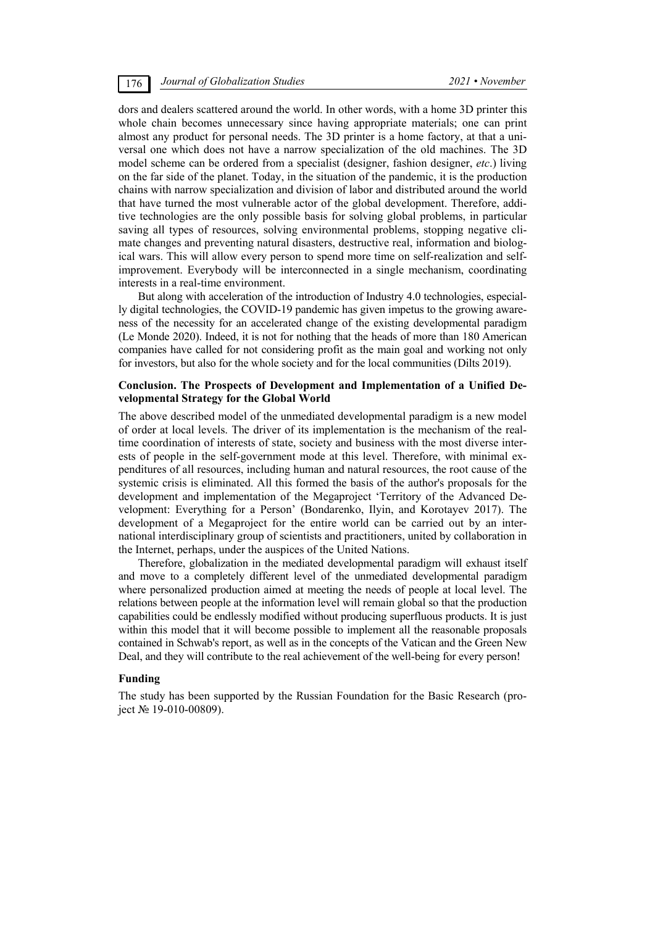dors and dealers scattered around the world. In other words, with a home 3D printer this whole chain becomes unnecessary since having appropriate materials; one can print almost any product for personal needs. The 3D printer is a home factory, at that a universal one which does not have a narrow specialization of the old machines. The 3D model scheme can be ordered from a specialist (designer, fashion designer, *etc*.) living on the far side of the planet. Today, in the situation of the pandemic, it is the production chains with narrow specialization and division of labor and distributed around the world that have turned the most vulnerable actor of the global development. Therefore, additive technologies are the only possible basis for solving global problems, in particular saving all types of resources, solving environmental problems, stopping negative climate changes and preventing natural disasters, destructive real, information and biological wars. This will allow every person to spend more time on self-realization and selfimprovement. Everybody will be interconnected in a single mechanism, coordinating interests in a real-time environment.

But along with acceleration of the introduction of Industry 4.0 technologies, especially digital technologies, the COVID-19 pandemic has given impetus to the growing awareness of the necessity for an accelerated change of the existing developmental paradigm (Le Monde 2020). Indeed, it is not for nothing that the heads of more than 180 American companies have called for not considering profit as the main goal and working not only for investors, but also for the whole society and for the local communities (Dilts 2019).

### **Conclusion. The Prospects of Development and Implementation of a Unified Developmental Strategy for the Global World**

The above described model of the unmediated developmental paradigm is a new model of order at local levels. The driver of its implementation is the mechanism of the realtime coordination of interests of state, society and business with the most diverse interests of people in the self-government mode at this level. Therefore, with minimal expenditures of all resources, including human and natural resources, the root cause of the systemic crisis is eliminated. All this formed the basis of the author's proposals for the development and implementation of the Megaproject 'Territory of the Advanced Development: Everything for a Person' (Bondarenko, Ilyin, and Korotayev 2017). The development of a Megaproject for the entire world can be carried out by an international interdisciplinary group of scientists and practitioners, united by collaboration in the Internet, perhaps, under the auspices of the United Nations.

Therefore, globalization in the mediated developmental paradigm will exhaust itself and move to a completely different level of the unmediated developmental paradigm where personalized production aimed at meeting the needs of people at local level. The relations between people at the information level will remain global so that the production capabilities could be endlessly modified without producing superfluous products. It is just within this model that it will become possible to implement all the reasonable proposals contained in Schwab's report, as well as in the concepts of the Vatican and the Green New Deal, and they will contribute to the real achievement of the well-being for every person!

### **Funding**

The study has been supported by the Russian Foundation for the Basic Research (project № 19-010-00809).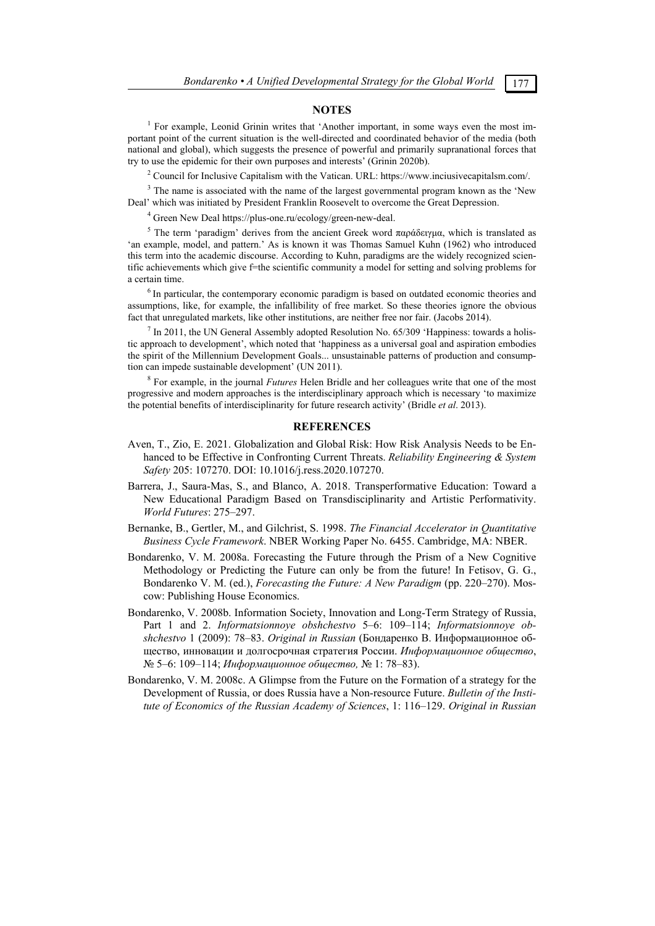### **NOTES**

<sup>1</sup> For example, Leonid Grinin writes that 'Another important, in some ways even the most important point of the current situation is the well-directed and coordinated behavior of the media (both national and global), which suggests the presence of powerful and primarily supranational forces that try to use the epidemic for their own purposes and interests' (Grinin 2020b).

<sup>2</sup> Council for Inclusive Capitalism with the Vatican. URL: https://www.inciusivecapitalsm.com/.

 $3$  The name is associated with the name of the largest governmental program known as the 'New Deal' which was initiated by President Franklin Roosevelt to overcome the Great Depression.

<sup>4</sup> Green New Deal https://plus-one.ru/ecology/green-new-deal.

<sup>5</sup> The term 'paradigm' derives from the ancient Greek word παράδειγμα, which is translated as 'an example, model, and pattern.' As is known it was Thomas Samuel Kuhn (1962) who introduced this term into the academic discourse. According to Kuhn, paradigms are the widely recognized scientific achievements which give f=the scientific community a model for setting and solving problems for a certain time.

<sup>6</sup> In particular, the contemporary economic paradigm is based on outdated economic theories and assumptions, like, for example, the infallibility of free market. So these theories ignore the obvious fact that unregulated markets, like other institutions, are neither free nor fair. (Jacobs 2014).

 $<sup>7</sup>$  In 2011, the UN General Assembly adopted Resolution No. 65/309 'Happiness: towards a holis-</sup> tic approach to development', which noted that 'happiness as a universal goal and aspiration embodies the spirit of the Millennium Development Goals... unsustainable patterns of production and consumption can impede sustainable development' (UN 2011).

8 For example, in the journal *Futures* Helen Bridle and her colleagues write that one of the most progressive and modern approaches is the interdisciplinary approach which is necessary 'to maximize the potential benefits of interdisciplinarity for future research activity' (Bridle *et al*. 2013).

### **REFERENCES**

- Aven, T., Zio, E. 2021. Globalization and Global Risk: How Risk Analysis Needs to be Enhanced to be Effective in Confronting Current Threats. *Reliability Engineering & System Safety* 205: 107270. DOI: 10.1016/j.ress.2020.107270.
- Barrera, J., Saura-Mas, S., and Blanco, A. 2018. Transperformative Education: Toward a New Educational Paradigm Based on Transdisciplinarity and Artistic Performativity. *World Futures*: 275–297.
- Bernanke, B., Gertler, M., and Gilchrist, S. 1998. *The Financial Accelerator in Quantitative Business Cycle Framework*. NBER Working Paper No. 6455. Cambridge, MA: NBER.
- Bondarenko, V. M. 2008a. Forecasting the Future through the Prism of a New Cognitive Methodology or Predicting the Future can only be from the future! In Fetisov, G. G., Bondarenko V. M. (ed.), *Forecasting the Future: A New Paradigm* (pp. 220–270). Moscow: Publishing House Economics.
- Bondarenko, V. 2008b. Information Society, Innovation and Long-Term Strategy of Russia, Part 1 and 2. *Informatsionnoye obshchestvo* 5–6: 109–114; *Informatsionnoye obshchestvo* 1 (2009): 78–83. *Original in Russian* (Бондаренко В. Информационное общество, инновации и долгосрочная стратегия России. *Информационное общество*, № 5–6: 109–114; *Информационное общество,* № 1: 78–83).
- Bondarenko, V. M. 2008c. A Glimpse from the Future on the Formation of a strategy for the Development of Russia, or does Russia have a Non-resource Future. *Bulletin of the Institute of Economics of the Russian Academy of Sciences*, 1: 116–129. *Original in Russian*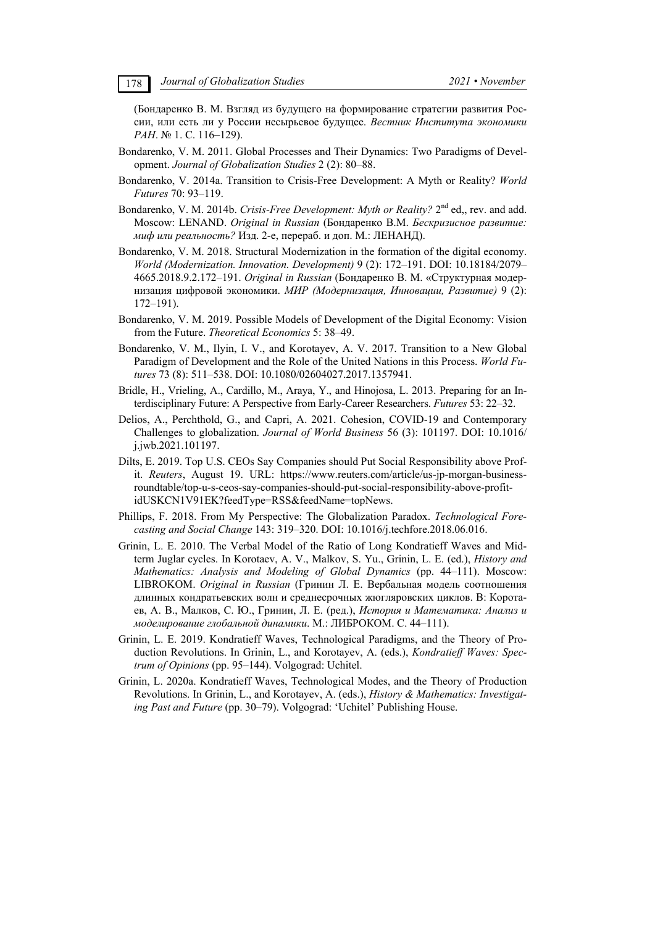(Бондаренко В. М. Взгляд из будущего на формирование стратегии развития России, или есть ли у России несырьевое будущее. *Вестник Института экономики РАН*. № 1. С. 116–129).

- Bondarenko, V. M. 2011. Global Processes and Their Dynamics: Two Paradigms of Development. *Journal of Globalization Studies* 2 (2): 80–88.
- Bondarenko, V. 2014a. Transition to Crisis-Free Development: A Myth or Reality? *World Futures* 70: 93–119.
- Bondarenko, V. M. 2014b. *Crisis-Free Development: Myth or Reality?* 2<sup>nd</sup> ed,, rev. and add. Moscow: LENAND. *Original in Russian* (Бондаренко В.М. *Бескризисное развитие: миф или реальность?* Изд. 2-е, перераб. и доп. М.: ЛЕНАНД).
- Bondarenko, V. M. 2018. Structural Modernization in the formation of the digital economy. *World (Modernization. Innovation. Development)* 9 (2): 172–191. DOI: 10.18184/2079– 4665.2018.9.2.172–191. *Original in Russian* (Бондаренко В. М. «Структурная модернизация цифровой экономики. *МИР (Модернизация, Инновации, Развитие)* 9 (2): 172–191).
- Bondarenko, V. M. 2019. Possible Models of Development of the Digital Economy: Vision from the Future. *Theoretical Economics* 5: 38–49.
- Bondarenko, V. M., Ilyin, I. V., and Korotayev, A. V. 2017. Transition to a New Global Paradigm of Development and the Role of the United Nations in this Process. *World Futures* 73 (8): 511–538. DOI: 10.1080/02604027.2017.1357941.
- Bridle, H., Vrieling, A., Cardillo, M., Araya, Y., and Hinojosa, L. 2013. Preparing for an Interdisciplinary Future: A Perspective from Early-Career Researchers. *Futures* 53: 22–32.
- Delios, A., Perchthold, G., and Capri, A. 2021. Cohesion, COVID-19 and Contemporary Challenges to globalization. *Journal of World Business* 56 (3): 101197. DOI: 10.1016/ j.jwb.2021.101197.
- Dilts, E. 2019. Top U.S. CEOs Say Companies should Put Social Responsibility above Profit. *Reuters*, August 19. URL: https://www.reuters.com/article/us-jp-morgan-businessroundtable/top-u-s-ceos-say-companies-should-put-social-responsibility-above-profitidUSKCN1V91EK?feedType=RSS&feedName=topNews.
- Phillips, F. 2018. From My Perspective: The Globalization Paradox. *Technological Forecasting and Social Change* 143: 319–320. DOI: 10.1016/j.techfore.2018.06.016.
- Grinin, L. E. 2010. The Verbal Model of the Ratio of Long Kondratieff Waves and Midterm Juglar cycles. In Korotaev, A. V., Malkov, S. Yu., Grinin, L. E. (ed.), *History and Mathematics: Analysis and Modeling of Global Dynamics* (pp. 44–111). Moscow: LIBROKOM. *Original in Russian* (Гринин Л. Е. Вербальная модель соотношения длинных кондратьевских волн и среднесрочных жюгляровских циклов. В: Коротаев, А. В., Малков, С. Ю., Гринин, Л. Е. (ред.), *История и Математика: Анализ и моделирование глобальной динамики*. М.: ЛИБРОКОМ. С. 44–111).
- Grinin, L. Е. 2019. Kondratieff Waves, Technological Paradigms, and the Theory of Production Revolutions. In Grinin, L., and Korotayev, A. (eds.), *Kondratieff Waves: Spectrum of Opinions* (pp. 95–144). Volgograd: Uchitel.
- Grinin, L. 2020a. Kondratieff Waves, Technological Modes, and the Theory of Production Revolutions. In Grinin, L., and Korotayev, A. (eds.), *History & Mathematics: Investigating Past and Future* (pp. 30–79). Volgograd: 'Uchitel' Publishing House.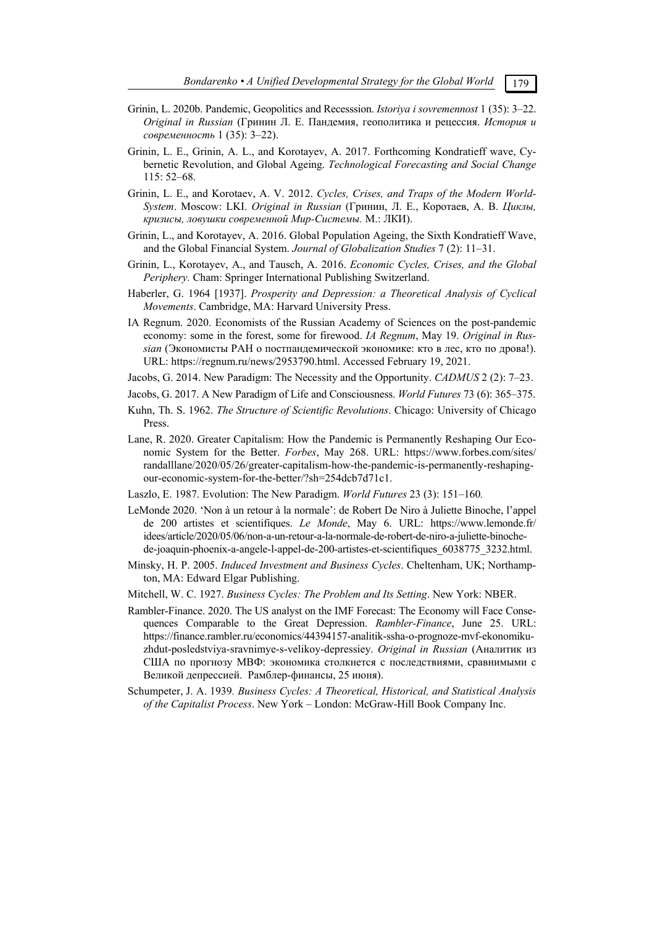- Grinin, L. 2020b. Pandemic, Geopolitics and Recesssion. *Istoriya i sovremennost* 1 (35): 3–22. *Original in Russian* (Гринин Л. Е. Пандемия, геополитика и рецессия. *История и современность* 1 (35): 3–22).
- Grinin, L. E., Grinin, A. L., and Korotayev, A. 2017. Forthcoming Kondratieff wave, Cybernetic Revolution, and Global Ageing. *Technological Forecasting and Social Change* 115: 52–68.
- Grinin, L. E., and Korotaev, A. V. 2012. *Cycles, Crises, and Traps of the Modern World-System*. Moscow: LKI. *Original in Russian* (Гринин, Л. Е., Коротаев, А. В. *Циклы, кризисы, ловушки современной Мир-Системы.* М.: ЛКИ).
- Grinin, L., and Korotayev, A. 2016. Global Population Ageing, the Sixth Kondratieff Wave, and the Global Financial System. *Journal of Globalization Studies* 7 (2): 11–31.
- Grinin, L., Korotayev, A., and Tausch, A. 2016. *Economic Cycles, Crises, and the Global Periphery.* Cham: Springer International Publishing Switzerland.
- Haberler, G. 1964 [1937]. *Prosperity and Depression: a Theoretical Analysis of Cyclical Movements*. Cambridge, MA: Harvard University Press.
- IA Regnum. 2020. Economists of the Russian Academy of Sciences on the post-pandemic economy: some in the forest, some for firewood. *IA Regnum*, May 19. *Original in Russian* (Экономисты РАН о постпандемической экономике: кто в лес, кто по дрова!). URL: https://regnum.ru/news/2953790.html. Accessed February 19, 2021.
- Jacobs, G. 2014. New Paradigm: The Necessity and the Opportunity. *CADMUS* 2 (2): 7–23.
- Jacobs, G. 2017. A New Paradigm of Life and Consciousness. *World Futures* 73 (6): 365–375.
- Kuhn, Th. S. 1962. *The Structure of Scientific Revolutions*. Chicago: University of Chicago Press.
- Lane, R. 2020. Greater Capitalism: How the Pandemic is Permanently Reshaping Our Economic System for the Better. *Forbes*, May 268. URL: https://www.forbes.com/sites/ randalllane/2020/05/26/greater-capitalism-how-the-pandemic-is-permanently-reshapingour-economic-system-for-the-better/?sh=254dcb7d71c1.
- Laszlo, E. 1987. Evolution: The New Paradigm. *World Futures* 23 (3): 151–160*.*
- LeMonde 2020. 'Non à un retour à la normale': de Robert De Niro à Juliette Binoche, l'appel de 200 artistes et scientifiques. *Le Monde*, May 6. URL: https://www.lemonde.fr/ idees/article/2020/05/06/non-a-un-retour-a-la-normale-de-robert-de-niro-a-juliette-binochede-joaquin-phoenix-a-angele-l-appel-de-200-artistes-et-scientifiques\_6038775\_3232.html.
- Minsky, H. P. 2005. *Induced Investment and Business Cycles*. Cheltenham, UK; Northampton, MA: Edward Elgar Publishing.
- Mitchell, W. C. 1927. *Business Cycles: The Problem and Its Setting*. New York: NBER.
- Rambler-Finance. 2020. The US analyst on the IMF Forecast: The Economy will Face Consequences Comparable to the Great Depression. *Rambler-Finance*, June 25. URL: https://finance.rambler.ru/economics/44394157-analitik-ssha-o-prognoze-mvf-ekonomikuzhdut-posledstviya-sravnimye-s-velikoy-depressiey. *Original in Russian* (Аналитик из США по прогнозу МВФ: экономика столкнется с последствиями, сравнимыми с Великой депрессией. Рамблер-финансы, 25 июня).
- Schumpeter, J. A. 1939*. Business Cycles: A Theoretical, Historical, and Statistical Analysis of the Capitalist Process*. New York – London: McGraw-Hill Book Company Inc.